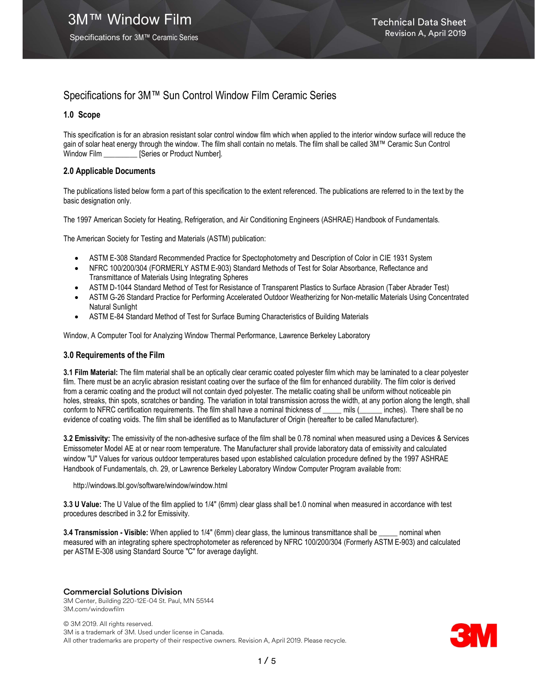Specifications for 3M™ Ceramic Series

# Specifications for 3M™ Sun Control Window Film Ceramic Series

## 1.0 Scope

This specification is for an abrasion resistant solar control window film which when applied to the interior window surface will reduce the gain of solar heat energy through the window. The film shall contain no metals. The film shall be called 3M™ Ceramic Sun Control Window Film [Series or Product Number].

## 2.0 Applicable Documents

The publications listed below form a part of this specification to the extent referenced. The publications are referred to in the text by the basic designation only.

The 1997 American Society for Heating, Refrigeration, and Air Conditioning Engineers (ASHRAE) Handbook of Fundamentals.

The American Society for Testing and Materials (ASTM) publication:

- ASTM E-308 Standard Recommended Practice for Spectophotometry and Description of Color in CIE 1931 System
- NFRC 100/200/304 (FORMERLY ASTM E-903) Standard Methods of Test for Solar Absorbance, Reflectance and Transmittance of Materials Using Integrating Spheres
- ASTM D-1044 Standard Method of Test for Resistance of Transparent Plastics to Surface Abrasion (Taber Abrader Test)
- ASTM G-26 Standard Practice for Performing Accelerated Outdoor Weatherizing for Non-metallic Materials Using Concentrated Natural Sunlight
- ASTM E-84 Standard Method of Test for Surface Burning Characteristics of Building Materials

Window, A Computer Tool for Analyzing Window Thermal Performance, Lawrence Berkeley Laboratory

## 3.0 Requirements of the Film

3.1 Film Material: The film material shall be an optically clear ceramic coated polyester film which may be laminated to a clear polyester film. There must be an acrylic abrasion resistant coating over the surface of the film for enhanced durability. The film color is derived from a ceramic coating and the product will not contain dyed polyester. The metallic coating shall be uniform without noticeable pin holes, streaks, thin spots, scratches or banding. The variation in total transmission across the width, at any portion along the length, shall conform to NFRC certification requirements. The film shall have a nominal thickness of mils ( \_\_\_\_ inches). There shall be no evidence of coating voids. The film shall be identified as to Manufacturer of Origin (hereafter to be called Manufacturer).

3.2 Emissivity: The emissivity of the non-adhesive surface of the film shall be 0.78 nominal when measured using a Devices & Services Emissometer Model AE at or near room temperature. The Manufacturer shall provide laboratory data of emissivity and calculated window "U" Values for various outdoor temperatures based upon established calculation procedure defined by the 1997 ASHRAE Handbook of Fundamentals, ch. 29, or Lawrence Berkeley Laboratory Window Computer Program available from:

http://windows.lbl.gov/software/window/window.html

3.3 U Value: The U Value of the film applied to 1/4" (6mm) clear glass shall be1.0 nominal when measured in accordance with test procedures described in 3.2 for Emissivity.

3.4 Transmission - Visible: When applied to 1/4" (6mm) clear glass, the luminous transmittance shall be \_\_\_\_ nominal when measured with an integrating sphere spectrophotometer as referenced by NFRC 100/200/304 (Formerly ASTM E-903) and calculated per ASTM E-308 using Standard Source "C" for average daylight.

## Commercial Solutions Division

3M Center, Building 220-12E-04 St. Paul, MN 55144 3M.com/windowfilm

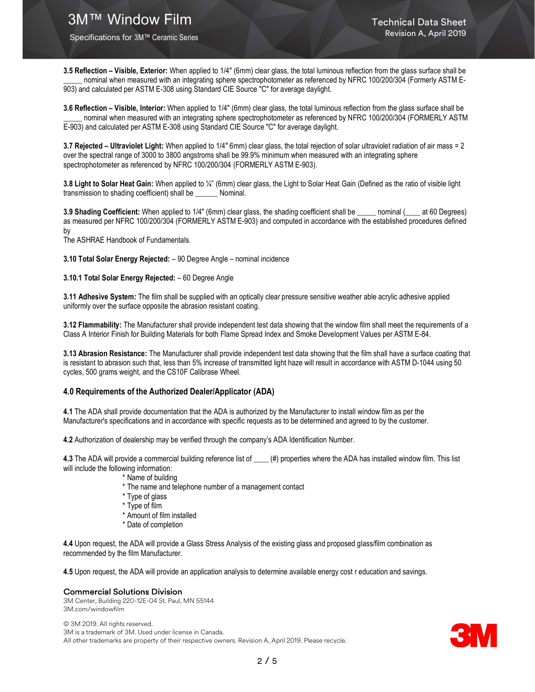Specifications for 3M™ Ceramic Series

3.5 Reflection – Visible, Exterior: When applied to 1/4" (6mm) clear glass, the total luminous reflection from the glass surface shall be nominal when measured with an integrating sphere spectrophotometer as referenced by NFRC 100/200/304 (Formerly ASTM E-903) and calculated per ASTM E-308 using Standard CIE Source "C" for average daylight.

3.6 Reflection – Visible, Interior: When applied to 1/4" (6mm) clear glass, the total luminous reflection from the glass surface shall be nominal when measured with an integrating sphere spectrophotometer as referenced by NFRC 100/200/304 (FORMERLY ASTM E-903) and calculated per ASTM E-308 using Standard CIE Source "C" for average daylight.

3.7 Rejected – Ultraviolet Light: When applied to 1/4" 6mm) clear glass, the total rejection of solar ultraviolet radiation of air mass = 2 over the spectral range of 3000 to 3800 angstroms shall be 99.9% minimum when measured with an integrating sphere spectrophotometer as referenced by NFRC 100/200/304 (FORMERLY ASTM E-903).

3.8 Light to Solar Heat Gain: When applied to ¼" (6mm) clear glass, the Light to Solar Heat Gain (Defined as the ratio of visible light transmission to shading coefficient) shall be \_\_\_\_\_\_ Nominal.

3.9 Shading Coefficient: When applied to 1/4" (6mm) clear glass, the shading coefficient shall be \_\_\_\_\_ nominal (\_\_\_\_ at 60 Degrees) as measured per NFRC 100/200/304 (FORMERLY ASTM E-903) and computed in accordance with the established procedures defined by

The ASHRAE Handbook of Fundamentals.

3.10 Total Solar Energy Rejected: – 90 Degree Angle – nominal incidence

#### 3.10.1 Total Solar Energy Rejected: – 60 Degree Angle

3.11 Adhesive System: The film shall be supplied with an optically clear pressure sensitive weather able acrylic adhesive applied uniformly over the surface opposite the abrasion resistant coating.

3.12 Flammability: The Manufacturer shall provide independent test data showing that the window film shall meet the requirements of a Class A Interior Finish for Building Materials for both Flame Spread Index and Smoke Development Values per ASTM E-84.

3.13 Abrasion Resistance: The Manufacturer shall provide independent test data showing that the film shall have a surface coating that is resistant to abrasion such that, less than 5% increase of transmitted light haze will result in accordance with ASTM D-1044 using 50 cycles, 500 grams weight, and the CS10F Calibrase Wheel.

#### 4.0 Requirements of the Authorized Dealer/Applicator (ADA)

4.1 The ADA shall provide documentation that the ADA is authorized by the Manufacturer to install window film as per the Manufacturer's specifications and in accordance with specific requests as to be determined and agreed to by the customer.

4.2 Authorization of dealership may be verified through the company's ADA Identification Number.

4.3 The ADA will provide a commercial building reference list of  $($ <sub>#</sub>) properties where the ADA has installed window film. This list will include the following information:

- \* Name of building
- \* The name and telephone number of a management contact
- \* Type of glass
- \* Type of film
- \* Amount of film installed
- \* Date of completion

4.4 Upon request, the ADA will provide a Glass Stress Analysis of the existing glass and proposed glass/film combination as recommended by the film Manufacturer.

4.5 Upon request, the ADA will provide an application analysis to determine available energy cost r education and savings.

#### Commercial Solutions Division

3M Center, Building 220-12E-04 St. Paul, MN 55144 3M.com/windowfilm

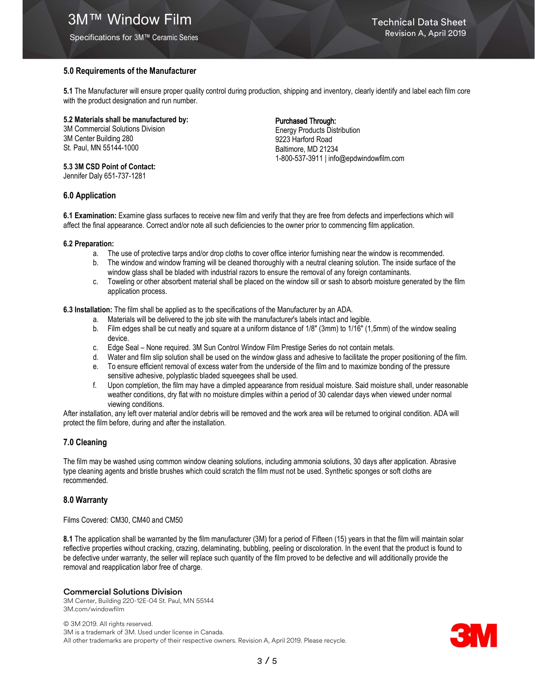# **3M™ Window Film Technical Data Sheet**

Specifications for 3M™ Ceramic Series

## 5.0 Requirements of the Manufacturer

5.1 The Manufacturer will ensure proper quality control during production, shipping and inventory, clearly identify and label each film core with the product designation and run number.

#### 5.2 Materials shall be manufactured by:

3M Commercial Solutions Division 3M Center Building 280 St. Paul, MN 55144-1000

#### 5.3 3M CSD Point of Contact:

Jennifer Daly 651-737-1281

## 6.0 Application

## Purchased Through:

Energy Products Distribution 9223 Harford Road Baltimore, MD 21234 1-800-537-3911 | info@epdwindowfilm.com

6.1 Examination: Examine glass surfaces to receive new film and verify that they are free from defects and imperfections which will affect the final appearance. Correct and/or note all such deficiencies to the owner prior to commencing film application.

#### 6.2 Preparation:

- a. The use of protective tarps and/or drop cloths to cover office interior furnishing near the window is recommended.
- b. The window and window framing will be cleaned thoroughly with a neutral cleaning solution. The inside surface of the window glass shall be bladed with industrial razors to ensure the removal of any foreign contaminants.
- c. Toweling or other absorbent material shall be placed on the window sill or sash to absorb moisture generated by the film application process.

6.3 Installation: The film shall be applied as to the specifications of the Manufacturer by an ADA.

- a. Materials will be delivered to the job site with the manufacturer's labels intact and legible.
- b. Film edges shall be cut neatly and square at a uniform distance of 1/8" (3mm) to 1/16" (1,5mm) of the window sealing device.
- c. Edge Seal None required. 3M Sun Control Window Film Prestige Series do not contain metals.
- d. Water and film slip solution shall be used on the window glass and adhesive to facilitate the proper positioning of the film.
- e. To ensure efficient removal of excess water from the underside of the film and to maximize bonding of the pressure sensitive adhesive, polyplastic bladed squeegees shall be used.
- f. Upon completion, the film may have a dimpled appearance from residual moisture. Said moisture shall, under reasonable weather conditions, dry flat with no moisture dimples within a period of 30 calendar days when viewed under normal viewing conditions.

After installation, any left over material and/or debris will be removed and the work area will be returned to original condition. ADA will protect the film before, during and after the installation.

## 7.0 Cleaning

The film may be washed using common window cleaning solutions, including ammonia solutions, 30 days after application. Abrasive type cleaning agents and bristle brushes which could scratch the film must not be used. Synthetic sponges or soft cloths are recommended.

## 8.0 Warranty

Films Covered: CM30, CM40 and CM50

8.1 The application shall be warranted by the film manufacturer (3M) for a period of Fifteen (15) years in that the film will maintain solar reflective properties without cracking, crazing, delaminating, bubbling, peeling or discoloration. In the event that the product is found to be defective under warranty, the seller will replace such quantity of the film proved to be defective and will additionally provide the removal and reapplication labor free of charge.

## Commercial Solutions Division

3M Center, Building 220-12E-04 St. Paul, MN 55144 3M.com/windowfilm

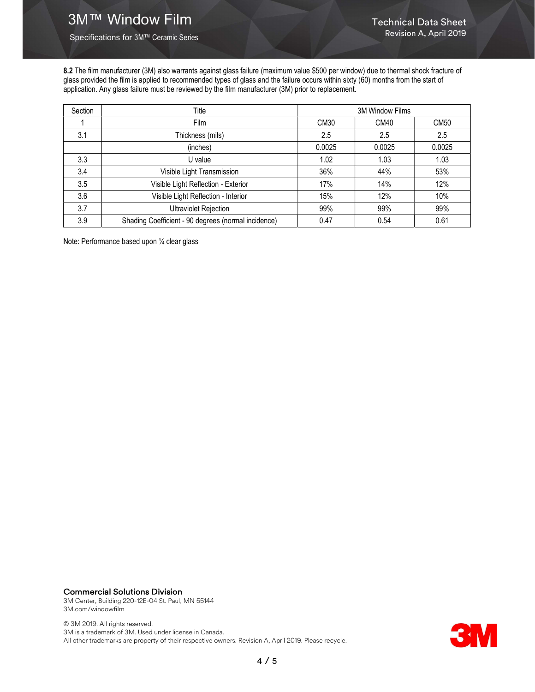Specifications for 3M™ Ceramic Series

8.2 The film manufacturer (3M) also warrants against glass failure (maximum value \$500 per window) due to thermal shock fracture of glass provided the film is applied to recommended types of glass and the failure occurs within sixty (60) months from the start of application. Any glass failure must be reviewed by the film manufacturer (3M) prior to replacement.

| Section | Title                                               | <b>3M Window Films</b> |             |             |
|---------|-----------------------------------------------------|------------------------|-------------|-------------|
|         | <b>Film</b>                                         | CM30                   | <b>CM40</b> | <b>CM50</b> |
| 3.1     | Thickness (mils)                                    | 2.5                    | 2.5         | 2.5         |
|         | (inches)                                            | 0.0025                 | 0.0025      | 0.0025      |
| 3.3     | U value                                             | 1.02                   | 1.03        | 1.03        |
| 3.4     | Visible Light Transmission                          | 36%                    | 44%         | 53%         |
| 3.5     | Visible Light Reflection - Exterior                 | 17%                    | 14%         | 12%         |
| 3.6     | Visible Light Reflection - Interior                 | 15%                    | 12%         | 10%         |
| 3.7     | <b>Ultraviolet Rejection</b>                        | 99%                    | 99%         | 99%         |
| 3.9     | Shading Coefficient - 90 degrees (normal incidence) | 0.47                   | 0.54        | 0.61        |

Note: Performance based upon ¼ clear glass

# Commercial Solutions Division

3M Center, Building 220-12E-04 St. Paul, MN 55144 3M.com/windowfilm